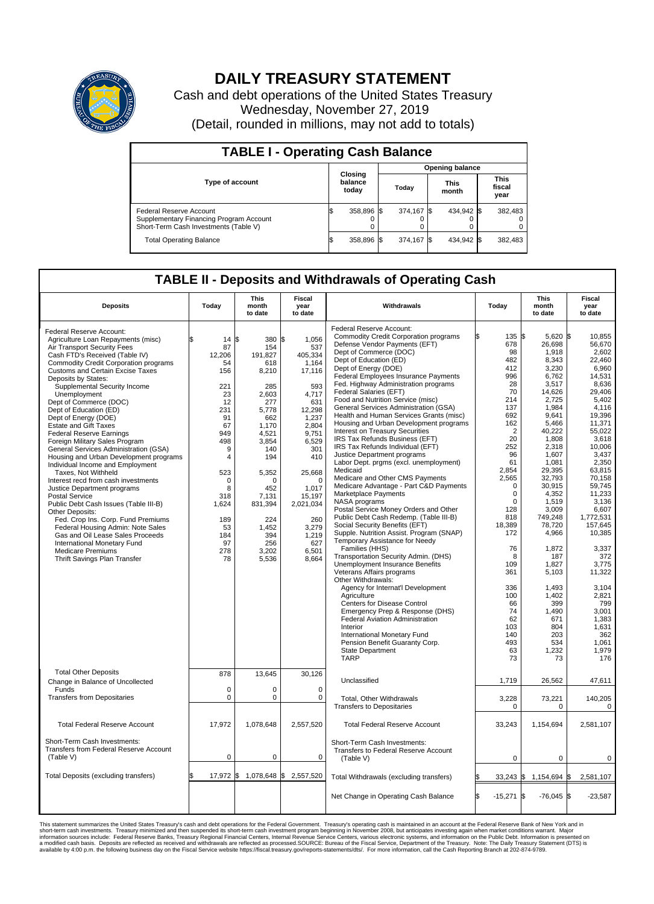

## **DAILY TREASURY STATEMENT**

Cash and debt operations of the United States Treasury Wednesday, November 27, 2019 (Detail, rounded in millions, may not add to totals)

| <b>TABLE I - Operating Cash Balance</b>                                                                     |    |                             |       |                        |                      |            |  |                               |  |  |  |
|-------------------------------------------------------------------------------------------------------------|----|-----------------------------|-------|------------------------|----------------------|------------|--|-------------------------------|--|--|--|
|                                                                                                             |    |                             |       | <b>Opening balance</b> |                      |            |  |                               |  |  |  |
| <b>Type of account</b>                                                                                      |    | Closing<br>balance<br>today | Today |                        | <b>This</b><br>month |            |  | <b>This</b><br>fiscal<br>year |  |  |  |
| Federal Reserve Account<br>Supplementary Financing Program Account<br>Short-Term Cash Investments (Table V) |    | 358,896 \$                  |       | 374.167 \$             |                      | 434,942 \$ |  | 382,483                       |  |  |  |
| <b>Total Operating Balance</b>                                                                              | ıъ | 358,896 \$                  |       | 374.167 \$             |                      | 434,942 \$ |  | 382,483                       |  |  |  |

## **TABLE II - Deposits and Withdrawals of Operating Cash**

| <b>Deposits</b>                                                                                                                                                               | Today                            | <b>This</b><br>month<br>to date       | <b>Fiscal</b><br>year<br>to date         | Withdrawals                                                                                                                                                                                     | Today           |                                           | <b>This</b><br>month<br>to date             | Fiscal<br>year<br>to date                    |  |
|-------------------------------------------------------------------------------------------------------------------------------------------------------------------------------|----------------------------------|---------------------------------------|------------------------------------------|-------------------------------------------------------------------------------------------------------------------------------------------------------------------------------------------------|-----------------|-------------------------------------------|---------------------------------------------|----------------------------------------------|--|
| Federal Reserve Account:<br>Agriculture Loan Repayments (misc)<br>Air Transport Security Fees<br>Cash FTD's Received (Table IV)                                               | \$<br>14S<br>87<br>12.206        | 380 \$<br>154<br>191,827              | 1,056<br>537<br>405,334                  | Federal Reserve Account:<br><b>Commodity Credit Corporation programs</b><br>Defense Vendor Payments (EFT)<br>Dept of Commerce (DOC)<br>Dept of Education (ED)                                   |                 | 135<br>ß.<br>678<br>98<br>482             | 5,620 \$<br>26,698<br>1,918<br>8,343        | 10,855<br>56,670<br>2,602<br>22,460          |  |
| <b>Commodity Credit Corporation programs</b><br><b>Customs and Certain Excise Taxes</b><br>Deposits by States:<br>Supplemental Security Income<br>Unemployment                | 54<br>156<br>221<br>23           | 618<br>8,210<br>285<br>2,603          | 1,164<br>17,116<br>593<br>4,717          | Dept of Energy (DOE)<br><b>Federal Employees Insurance Payments</b><br>Fed. Highway Administration programs<br>Federal Salaries (EFT)<br>Food and Nutrition Service (misc)                      |                 | 412<br>996<br>28<br>70<br>214             | 3,230<br>6,762<br>3,517<br>14,626<br>2,725  | 6,960<br>14,531<br>8,636<br>29.406<br>5,402  |  |
| Dept of Commerce (DOC)<br>Dept of Education (ED)<br>Dept of Energy (DOE)<br><b>Estate and Gift Taxes</b><br><b>Federal Reserve Earnings</b>                                   | 12<br>231<br>91<br>67<br>949     | 277<br>5,778<br>662<br>1,170<br>4,521 | 631<br>12,298<br>1,237<br>2,804<br>9,751 | General Services Administration (GSA)<br>Health and Human Services Grants (misc)<br>Housing and Urban Development programs<br>Interest on Treasury Securities<br>IRS Tax Refunds Business (EFT) |                 | 137<br>692<br>162<br>$\overline{2}$<br>20 | 1,984<br>9,641<br>5,466<br>40,222<br>1,808  | 4,116<br>19,396<br>11,371<br>55,022<br>3,618 |  |
| Foreign Military Sales Program<br>General Services Administration (GSA)<br>Housing and Urban Development programs<br>Individual Income and Employment<br>Taxes, Not Withheld  | 498<br>9<br>4<br>523             | 3,854<br>140<br>194<br>5,352          | 6,529<br>301<br>410<br>25,668            | IRS Tax Refunds Individual (EFT)<br>Justice Department programs<br>Labor Dept. prgms (excl. unemployment)<br>Medicaid                                                                           | 2,854           | 252<br>96<br>61                           | 2,318<br>1,607<br>1,081<br>29,395           | 10,006<br>3,437<br>2,350<br>63,815           |  |
| Interest recd from cash investments<br>Justice Department programs<br><b>Postal Service</b><br>Public Debt Cash Issues (Table III-B)<br>Other Deposits:                       | $\mathbf 0$<br>8<br>318<br>1,624 | $\Omega$<br>452<br>7,131<br>831,394   | $\Omega$<br>1,017<br>15,197<br>2,021,034 | Medicare and Other CMS Payments<br>Medicare Advantage - Part C&D Payments<br>Marketplace Payments<br>NASA programs<br>Postal Service Money Orders and Other                                     | 2,565           | $\Omega$<br>0<br>$\Omega$<br>128          | 32,793<br>30,915<br>4,352<br>1,519<br>3,009 | 70,158<br>59.745<br>11,233<br>3,136<br>6,607 |  |
| Fed. Crop Ins. Corp. Fund Premiums<br>Federal Housing Admin: Note Sales<br>Gas and Oil Lease Sales Proceeds<br><b>International Monetary Fund</b><br><b>Medicare Premiums</b> | 189<br>53<br>184<br>97<br>278    | 224<br>1,452<br>394<br>256<br>3,202   | 260<br>3,279<br>1,219<br>627<br>6,501    | Public Debt Cash Redemp. (Table III-B)<br>Social Security Benefits (EFT)<br>Supple. Nutrition Assist. Program (SNAP)<br>Temporary Assistance for Needy<br>Families (HHS)                        | 18,389          | 818<br>172<br>76                          | 749,248<br>78,720<br>4,966<br>1,872         | 1,772,531<br>157,645<br>10,385<br>3,337      |  |
| Thrift Savings Plan Transfer                                                                                                                                                  | 78                               | 5,536                                 | 8,664                                    | Transportation Security Admin. (DHS)<br>Unemployment Insurance Benefits<br>Veterans Affairs programs<br>Other Withdrawals:<br>Agency for Internat'l Development                                 |                 | 8<br>109<br>361<br>336                    | 187<br>1,827<br>5,103<br>1,493              | 372<br>3,775<br>11,322<br>3,104              |  |
|                                                                                                                                                                               |                                  |                                       |                                          | Agriculture<br>Centers for Disease Control<br>Emergency Prep & Response (DHS)<br><b>Federal Aviation Administration</b><br>Interior                                                             |                 | 100<br>66<br>74<br>62<br>103              | 1,402<br>399<br>1,490<br>671<br>804         | 2,821<br>799<br>3,001<br>1,383<br>1,631      |  |
|                                                                                                                                                                               |                                  |                                       |                                          | International Monetary Fund<br>Pension Benefit Guaranty Corp.<br><b>State Department</b><br><b>TARP</b>                                                                                         |                 | 140<br>493<br>63<br>73                    | 203<br>534<br>1,232<br>73                   | 362<br>1,061<br>1,979<br>176                 |  |
| <b>Total Other Deposits</b><br>Change in Balance of Uncollected<br>Funds                                                                                                      | 878<br>$\mathbf 0$               | 13,645<br>$\mathbf 0$                 | 30,126<br>$\mathbf 0$                    | Unclassified                                                                                                                                                                                    | 1,719           |                                           | 26,562                                      | 47,611                                       |  |
| <b>Transfers from Depositaries</b>                                                                                                                                            | $\mathbf 0$                      | $\pmb{0}$                             | $\mathbf 0$                              | Total, Other Withdrawals<br><b>Transfers to Depositaries</b>                                                                                                                                    | 3,228           | $\Omega$                                  | 73,221<br>$\Omega$                          | 140,205<br>$\Omega$                          |  |
| <b>Total Federal Reserve Account</b>                                                                                                                                          | 17,972                           | 1,078,648                             | 2,557,520                                | <b>Total Federal Reserve Account</b>                                                                                                                                                            | 33,243          |                                           | 1,154,694                                   | 2,581,107                                    |  |
| Short-Term Cash Investments:<br><b>Transfers from Federal Reserve Account</b><br>(Table V)                                                                                    | $\mathbf 0$                      | $\pmb{0}$                             | 0                                        | Short-Term Cash Investments:<br>Transfers to Federal Reserve Account<br>(Table V)                                                                                                               |                 | $\mathbf 0$                               | 0                                           | 0                                            |  |
| Total Deposits (excluding transfers)                                                                                                                                          | $17,972$ \$                      | 1,078,648 \$                          | 2,557,520                                | Total Withdrawals (excluding transfers)                                                                                                                                                         |                 | $33,243$ \$                               | 1,154,694 \$                                | 2,581,107                                    |  |
|                                                                                                                                                                               |                                  |                                       |                                          | Net Change in Operating Cash Balance                                                                                                                                                            | ß.<br>$-15,271$ | 1\$                                       | $-76,045$ \$                                | $-23,587$                                    |  |

This statement summarizes the United States Treasury's cash and debt operations for the Federal Government. Treasury soperating in November 2008, but anticiarded in a cocount at the Federal metaformation sources investment